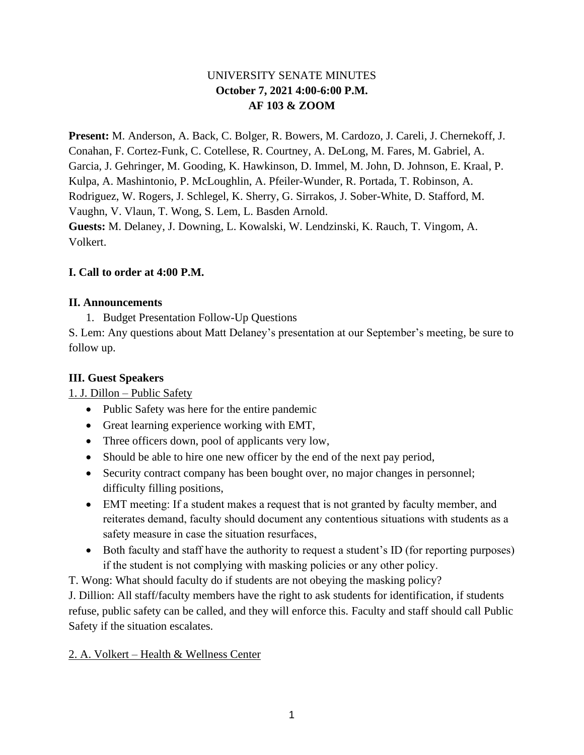# UNIVERSITY SENATE MINUTES **October 7, 2021 4:00-6:00 P.M. AF 103 & ZOOM**

**Present:** M. Anderson, A. Back, C. Bolger, R. Bowers, M. Cardozo, J. Careli, J. Chernekoff, J. Conahan, F. Cortez-Funk, C. Cotellese, R. Courtney, A. DeLong, M. Fares, M. Gabriel, A. Garcia, J. Gehringer, M. Gooding, K. Hawkinson, D. Immel, M. John, D. Johnson, E. Kraal, P. Kulpa, A. Mashintonio, P. McLoughlin, A. Pfeiler-Wunder, R. Portada, T. Robinson, A. Rodriguez, W. Rogers, J. Schlegel, K. Sherry, G. Sirrakos, J. Sober-White, D. Stafford, M. Vaughn, V. Vlaun, T. Wong, S. Lem, L. Basden Arnold. **Guests:** M. Delaney, J. Downing, L. Kowalski, W. Lendzinski, K. Rauch, T. Vingom, A.

Volkert.

### **I. Call to order at 4:00 P.M.**

### **II. Announcements**

1. Budget Presentation Follow-Up Questions

S. Lem: Any questions about Matt Delaney's presentation at our September's meeting, be sure to follow up.

# **III. Guest Speakers**

1. J. Dillon – Public Safety

- Public Safety was here for the entire pandemic
- Great learning experience working with EMT,
- Three officers down, pool of applicants very low,
- Should be able to hire one new officer by the end of the next pay period,
- Security contract company has been bought over, no major changes in personnel; difficulty filling positions,
- EMT meeting: If a student makes a request that is not granted by faculty member, and reiterates demand, faculty should document any contentious situations with students as a safety measure in case the situation resurfaces,
- Both faculty and staff have the authority to request a student's ID (for reporting purposes) if the student is not complying with masking policies or any other policy.
- T. Wong: What should faculty do if students are not obeying the masking policy?

J. Dillion: All staff/faculty members have the right to ask students for identification, if students refuse, public safety can be called, and they will enforce this. Faculty and staff should call Public Safety if the situation escalates.

### 2. A. Volkert – Health & Wellness Center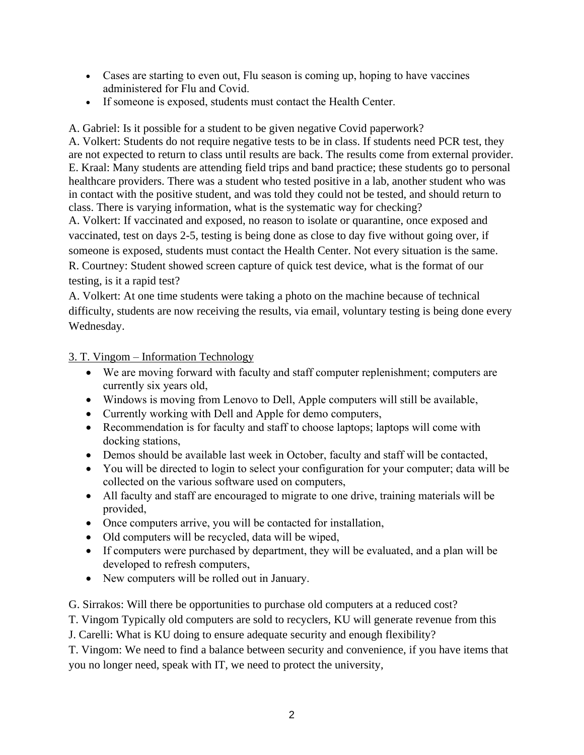- Cases are starting to even out, Flu season is coming up, hoping to have vaccines administered for Flu and Covid.
- If someone is exposed, students must contact the Health Center.

A. Gabriel: Is it possible for a student to be given negative Covid paperwork?

A. Volkert: Students do not require negative tests to be in class. If students need PCR test, they are not expected to return to class until results are back. The results come from external provider. E. Kraal: Many students are attending field trips and band practice; these students go to personal healthcare providers. There was a student who tested positive in a lab, another student who was in contact with the positive student, and was told they could not be tested, and should return to class. There is varying information, what is the systematic way for checking?

A. Volkert: If vaccinated and exposed, no reason to isolate or quarantine, once exposed and vaccinated, test on days 2-5, testing is being done as close to day five without going over, if someone is exposed, students must contact the Health Center. Not every situation is the same. R. Courtney: Student showed screen capture of quick test device, what is the format of our testing, is it a rapid test?

A. Volkert: At one time students were taking a photo on the machine because of technical difficulty, students are now receiving the results, via email, voluntary testing is being done every Wednesday.

3. T. Vingom – Information Technology

- We are moving forward with faculty and staff computer replenishment; computers are currently six years old,
- Windows is moving from Lenovo to Dell, Apple computers will still be available,
- Currently working with Dell and Apple for demo computers,
- Recommendation is for faculty and staff to choose laptops; laptops will come with docking stations,
- Demos should be available last week in October, faculty and staff will be contacted,
- You will be directed to login to select your configuration for your computer; data will be collected on the various software used on computers,
- All faculty and staff are encouraged to migrate to one drive, training materials will be provided,
- Once computers arrive, you will be contacted for installation,
- Old computers will be recycled, data will be wiped,
- If computers were purchased by department, they will be evaluated, and a plan will be developed to refresh computers,
- New computers will be rolled out in January.

G. Sirrakos: Will there be opportunities to purchase old computers at a reduced cost?

T. Vingom Typically old computers are sold to recyclers, KU will generate revenue from this

J. Carelli: What is KU doing to ensure adequate security and enough flexibility?

T. Vingom: We need to find a balance between security and convenience, if you have items that you no longer need, speak with IT, we need to protect the university,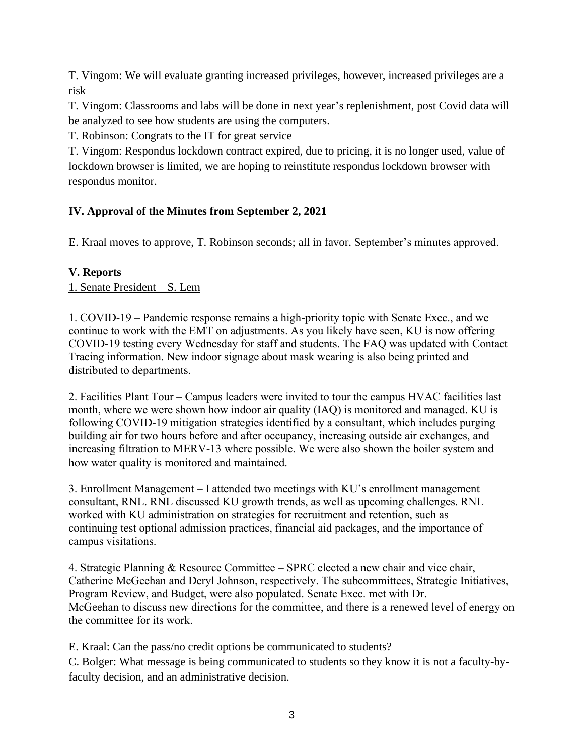T. Vingom: We will evaluate granting increased privileges, however, increased privileges are a risk

T. Vingom: Classrooms and labs will be done in next year's replenishment, post Covid data will be analyzed to see how students are using the computers.

T. Robinson: Congrats to the IT for great service

T. Vingom: Respondus lockdown contract expired, due to pricing, it is no longer used, value of lockdown browser is limited, we are hoping to reinstitute respondus lockdown browser with respondus monitor.

# **IV. Approval of the Minutes from September 2, 2021**

E. Kraal moves to approve, T. Robinson seconds; all in favor. September's minutes approved.

### **V. Reports**

1. Senate President – S. Lem

1. COVID-19 – Pandemic response remains a high-priority topic with Senate Exec., and we continue to work with the EMT on adjustments. As you likely have seen, KU is now offering COVID-19 testing every Wednesday for staff and students. The FAQ was updated with Contact Tracing information. New indoor signage about mask wearing is also being printed and distributed to departments.

2. Facilities Plant Tour – Campus leaders were invited to tour the campus HVAC facilities last month, where we were shown how indoor air quality (IAQ) is monitored and managed. KU is following COVID-19 mitigation strategies identified by a consultant, which includes purging building air for two hours before and after occupancy, increasing outside air exchanges, and increasing filtration to MERV-13 where possible. We were also shown the boiler system and how water quality is monitored and maintained.

3. Enrollment Management – I attended two meetings with KU's enrollment management consultant, RNL. RNL discussed KU growth trends, as well as upcoming challenges. RNL worked with KU administration on strategies for recruitment and retention, such as continuing test optional admission practices, financial aid packages, and the importance of campus visitations.

4. Strategic Planning & Resource Committee – SPRC elected a new chair and vice chair, Catherine McGeehan and Deryl Johnson, respectively. The subcommittees, Strategic Initiatives, Program Review, and Budget, were also populated. Senate Exec. met with Dr. McGeehan to discuss new directions for the committee, and there is a renewed level of energy on the committee for its work.

E. Kraal: Can the pass/no credit options be communicated to students? C. Bolger: What message is being communicated to students so they know it is not a faculty-byfaculty decision, and an administrative decision.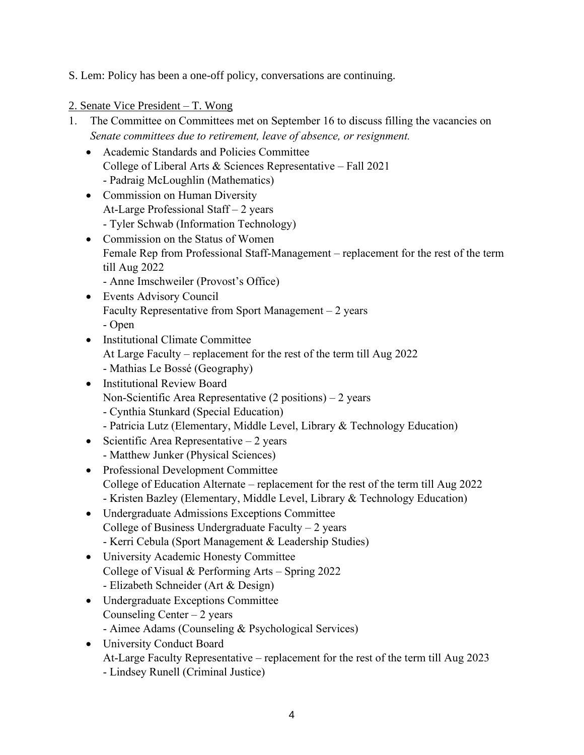S. Lem: Policy has been a one-off policy, conversations are continuing.

- 2. Senate Vice President T. Wong
- 1. The Committee on Committees met on September 16 to discuss filling the vacancies on *Senate committees due to retirement, leave of absence, or resignment.*
	- Academic Standards and Policies Committee College of Liberal Arts & Sciences Representative – Fall 2021 - Padraig McLoughlin (Mathematics)
	- Commission on Human Diversity At-Large Professional Staff – 2 years - Tyler Schwab (Information Technology)
	- Commission on the Status of Women Female Rep from Professional Staff-Management – replacement for the rest of the term till Aug 2022
		- Anne Imschweiler (Provost's Office)
	- Events Advisory Council Faculty Representative from Sport Management – 2 years

- Open

- Institutional Climate Committee At Large Faculty – replacement for the rest of the term till Aug 2022 - Mathias Le Bossé (Geography)
- Institutional Review Board Non-Scientific Area Representative (2 positions) – 2 years
	- Cynthia Stunkard (Special Education)
	- Patricia Lutz (Elementary, Middle Level, Library & Technology Education)
- Scientific Area Representative  $-2$  years - Matthew Junker (Physical Sciences)
- Professional Development Committee College of Education Alternate – replacement for the rest of the term till Aug 2022 - Kristen Bazley (Elementary, Middle Level, Library & Technology Education)
- Undergraduate Admissions Exceptions Committee College of Business Undergraduate Faculty  $-2$  years - Kerri Cebula (Sport Management & Leadership Studies)
- University Academic Honesty Committee College of Visual & Performing Arts – Spring 2022 - Elizabeth Schneider (Art & Design)
- Undergraduate Exceptions Committee Counseling Center  $-2$  years
	- Aimee Adams (Counseling & Psychological Services)
- University Conduct Board At-Large Faculty Representative – replacement for the rest of the term till Aug 2023 - Lindsey Runell (Criminal Justice)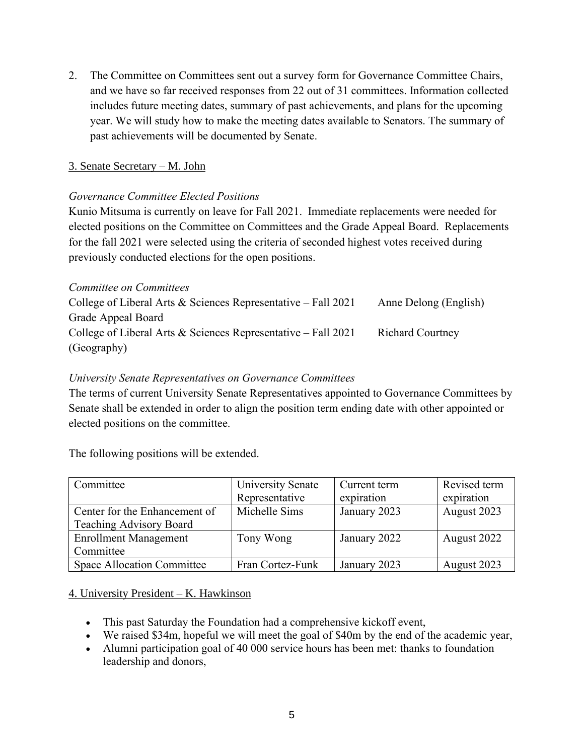2. The Committee on Committees sent out a survey form for Governance Committee Chairs, and we have so far received responses from 22 out of 31 committees. Information collected includes future meeting dates, summary of past achievements, and plans for the upcoming year. We will study how to make the meeting dates available to Senators. The summary of past achievements will be documented by Senate.

### 3. Senate Secretary – M. John

#### *Governance Committee Elected Positions*

Kunio Mitsuma is currently on leave for Fall 2021. Immediate replacements were needed for elected positions on the Committee on Committees and the Grade Appeal Board. Replacements for the fall 2021 were selected using the criteria of seconded highest votes received during previously conducted elections for the open positions.

#### *Committee on Committees*

| College of Liberal Arts & Sciences Representative – Fall $2021$ | Anne Delong (English)   |
|-----------------------------------------------------------------|-------------------------|
| Grade Appeal Board                                              |                         |
| College of Liberal Arts & Sciences Representative – Fall $2021$ | <b>Richard Courtney</b> |
| (Geography)                                                     |                         |

#### *University Senate Representatives on Governance Committees*

The terms of current University Senate Representatives appointed to Governance Committees by Senate shall be extended in order to align the position term ending date with other appointed or elected positions on the committee.

The following positions will be extended.

| Committee                         | <b>University Senate</b> | Current term | Revised term |
|-----------------------------------|--------------------------|--------------|--------------|
|                                   | Representative           | expiration   | expiration   |
| Center for the Enhancement of     | Michelle Sims            | January 2023 | August 2023  |
| Teaching Advisory Board           |                          |              |              |
| <b>Enrollment Management</b>      | Tony Wong                | January 2022 | August 2022  |
| Committee                         |                          |              |              |
| <b>Space Allocation Committee</b> | Fran Cortez-Funk         | January 2023 | August 2023  |

#### 4. University President – K. Hawkinson

- This past Saturday the Foundation had a comprehensive kickoff event,
- We raised \$34m, hopeful we will meet the goal of \$40m by the end of the academic year,
- Alumni participation goal of 40 000 service hours has been met: thanks to foundation leadership and donors,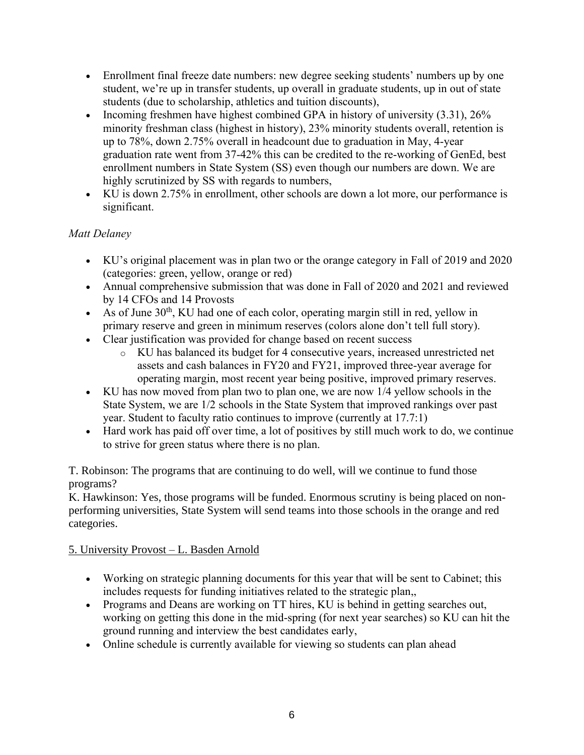- Enrollment final freeze date numbers: new degree seeking students' numbers up by one student, we're up in transfer students, up overall in graduate students, up in out of state students (due to scholarship, athletics and tuition discounts),
- Incoming freshmen have highest combined GPA in history of university (3.31), 26% minority freshman class (highest in history), 23% minority students overall, retention is up to 78%, down 2.75% overall in headcount due to graduation in May, 4-year graduation rate went from 37-42% this can be credited to the re-working of GenEd, best enrollment numbers in State System (SS) even though our numbers are down. We are highly scrutinized by SS with regards to numbers,
- KU is down 2.75% in enrollment, other schools are down a lot more, our performance is significant.

# *Matt Delaney*

- KU's original placement was in plan two or the orange category in Fall of 2019 and 2020 (categories: green, yellow, orange or red)
- Annual comprehensive submission that was done in Fall of 2020 and 2021 and reviewed by 14 CFOs and 14 Provosts
- As of June  $30<sup>th</sup>$ , KU had one of each color, operating margin still in red, yellow in primary reserve and green in minimum reserves (colors alone don't tell full story).
- Clear justification was provided for change based on recent success
	- o KU has balanced its budget for 4 consecutive years, increased unrestricted net assets and cash balances in FY20 and FY21, improved three-year average for operating margin, most recent year being positive, improved primary reserves.
- KU has now moved from plan two to plan one, we are now 1/4 yellow schools in the State System, we are 1/2 schools in the State System that improved rankings over past year. Student to faculty ratio continues to improve (currently at 17.7:1)
- Hard work has paid off over time, a lot of positives by still much work to do, we continue to strive for green status where there is no plan.

T. Robinson: The programs that are continuing to do well, will we continue to fund those programs?

K. Hawkinson: Yes, those programs will be funded. Enormous scrutiny is being placed on nonperforming universities, State System will send teams into those schools in the orange and red categories.

# 5. University Provost – L. Basden Arnold

- Working on strategic planning documents for this year that will be sent to Cabinet; this includes requests for funding initiatives related to the strategic plan,,
- Programs and Deans are working on TT hires, KU is behind in getting searches out, working on getting this done in the mid-spring (for next year searches) so KU can hit the ground running and interview the best candidates early,
- Online schedule is currently available for viewing so students can plan ahead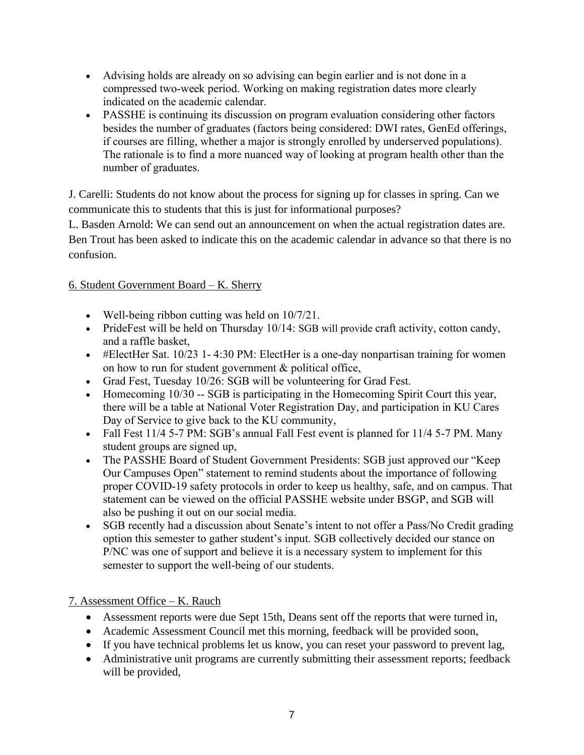- Advising holds are already on so advising can begin earlier and is not done in a compressed two-week period. Working on making registration dates more clearly indicated on the academic calendar.
- PASSHE is continuing its discussion on program evaluation considering other factors besides the number of graduates (factors being considered: DWI rates, GenEd offerings, if courses are filling, whether a major is strongly enrolled by underserved populations). The rationale is to find a more nuanced way of looking at program health other than the number of graduates.

J. Carelli: Students do not know about the process for signing up for classes in spring. Can we communicate this to students that this is just for informational purposes?

L. Basden Arnold: We can send out an announcement on when the actual registration dates are. Ben Trout has been asked to indicate this on the academic calendar in advance so that there is no confusion.

### 6. Student Government Board – K. Sherry

- Well-being ribbon cutting was held on  $10/7/21$ .
- PrideFest will be held on Thursday 10/14: SGB will provide craft activity, cotton candy, and a raffle basket,
- #ElectHer Sat.  $10/23$  1-4:30 PM: ElectHer is a one-day nonpartisan training for women on how to run for student government & political office,
- Grad Fest, Tuesday 10/26: SGB will be volunteering for Grad Fest.
- Homecoming 10/30 -- SGB is participating in the Homecoming Spirit Court this year, there will be a table at National Voter Registration Day, and participation in KU Cares Day of Service to give back to the KU community,
- Fall Fest 11/4 5-7 PM: SGB's annual Fall Fest event is planned for 11/4 5-7 PM. Many student groups are signed up,
- The PASSHE Board of Student Government Presidents: SGB just approved our "Keep" Our Campuses Open" statement to remind students about the importance of following proper COVID-19 safety protocols in order to keep us healthy, safe, and on campus. That statement can be viewed on the official PASSHE website under BSGP, and SGB will also be pushing it out on our social media.
- SGB recently had a discussion about Senate's intent to not offer a Pass/No Credit grading option this semester to gather student's input. SGB collectively decided our stance on P/NC was one of support and believe it is a necessary system to implement for this semester to support the well-being of our students.

# 7. Assessment Office – K. Rauch

- Assessment reports were due Sept 15th, Deans sent off the reports that were turned in,
- Academic Assessment Council met this morning, feedback will be provided soon,
- If you have technical problems let us know, you can reset your password to prevent lag,
- Administrative unit programs are currently submitting their assessment reports; feedback will be provided,